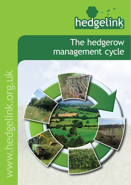

# The hedgerow management cycle

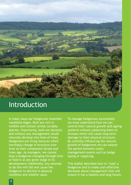

## Introduction

In many ways our hedgerows resemble woodland edges. Both are rich in wildlife and contain similar scrubby species. Importantly, both are dynamic and without any management would naturally develop into lines of trees. Hedgerows are living features which inevitably change in structure over time as their component shrubs and trees age. As managers, we cannot stop a hedgerow changing through time or hold it at any given stage in its development indefinitely. Any attempt to do this will fail and cause the hedgerow to decline in physical condition and wildlife value.

To manage hedgerows successfully we must understand how we can control their natural growth and ageing patterns without subjecting them to stresses which will cause long-term damage to their physical structure. By carefully influencing the natural growth of hedgerows we can extend the period between costly management events such as hedge laying or coppicing.

This leaflet describes how to 'read' a hedgerow and to make cost-effective decisions about management that will ensure it has a healthy and long future.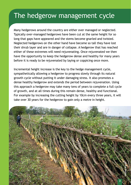# The hedgerow management cycle

Many hedgerows around the country are either over managed or neglected. Typically over-managed hedgerows have been cut at the same height for so long that gaps have appeared and the stems become gnarled and twisted. Neglected hedgerows on the other hand have become so tall they have lost their shrub layer and are in danger of collapse. A hedgerow that has reached either of these extremes will need rejuvenating. Once rejuvenated we then have the opportunity to keep the hedgerow dense and healthy for many years before it is ready to be rejuvenated by laying or coppicing once more.

Incremental height increase is the key to the hedge management cycle, sympathetically allowing a hedgerow to progress slowly through its natural growth cycle without putting it under damaging stress. It also promotes a dense healthy hedgerow and extends the period between rejuvenation. Using this approach a hedgerow may take many tens of years to complete a full cycle of growth, and at all times during this remain dense, healthy and functional. For example by increasing the cutting height by 10cm every three years, it will take over 30 years for the hedgerow to gain only a metre in height.

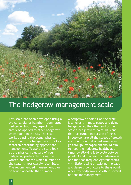

## The hedgerow management scale

This scale has been developed using a typical Midlands hawthorn-dominated hedgerow, but many aspects can safely be applied to other hedgerow types found in the UK. The scale works by using the actual physical condition of the hedgerow as the key factor in determining appropriate management. To use the scale look at the physical structure of your hedgerow, preferably during the winter, and choose which number on the scale it most closely resembles. The recommended management can be found opposite that number.

A hedgerow at point 1 on the scale is an over-trimmed, gappy and dying hedgerow. At the other end of the scale a hedgerow at point 10 is one that has turned into a line of trees. In between are all the stages of growth and condition that a hedgerow may go through. Management should aim to keep the hedgerow healthy at all times by allowing it to cycle between points 3 and 8. A healthy hedgerow is one that has frequent vigorous stems with little rotting or twisting, no gaps and dense growth close to the ground. A healthy hedgerow also offers several options for management.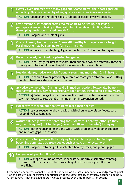| 1                       | Heavily over-trimmed with many gaps and sparse stems, their bases gnarled<br>or rotting. May be invaded by elder, sycamore or other invasive species.<br>ACTION Coppice and re-plant gaps. Grub out or poison invasive species.                                                                                       |
|-------------------------|-----------------------------------------------------------------------------------------------------------------------------------------------------------------------------------------------------------------------------------------------------------------------------------------------------------------------|
| $\overline{2}$          | Over-trimmed, infrequent stems too far apart to be 'let up' for laying,<br>perhaps evidence of laying in the past. Hard knuckle at trim line, shrubs<br>developing mushroom shaped growth form.<br>ACTION Coppice and re-plant gaps.                                                                                  |
| $\overline{\mathbf{3}}$ | Over-trimmed, frequent stems. Stems still healthy but require more height.<br>Hard knuckle may be starting to form at trim line.<br>ACTION Allow incremental height gain at each cut or 'let up' up for laying.                                                                                                       |
| 4                       | Recently layed, coppiced, or planted hedgerow.<br>ACTION Trim lightly for first few years, then cut on a two or preferably three or<br>more year rotation, allowing height to increase a little each time.                                                                                                            |
| 5 <sup>5</sup>          | Healthy, dense, hedgerow with frequent stems and more than 2m in height.<br>ACTION Trim on a two or preferably a three or more year rotation. Raise cutting<br>height if hard knuckle forming at trim line.                                                                                                           |
| 6                       | a) Hedgerow more than 3m high and trimmed on rotation. b) May also be non-<br>intervention hedge, having intentionally been left un-trimmed for several years.<br>ACTION a) Enter hedge into non-intervention period. b) Re-shape with circular<br>saw then return to rotational trimming or non-intervention period. |
| 7                       | Hedgerow with frequent healthy stems more than 4m high.<br>ACTION Lay or reduce height and width with circular saw blade. Would also<br>respond well to coppicing.                                                                                                                                                    |
| 8                       | Mature tall hedgerow with spreading tops. Stems still healthy (although they<br>may be infrequent) but too large (more than 18cm in diameter) for laying.<br>ACTION Either reduce in height and width with circular saw blade or coppice<br>and re-plant gaps if necessary.                                           |
| 9                       | Over-mature hedgerow with tops dying back, collapse possible. Perhaps<br>becoming dominated by tree species such as oak, ash or sycamore.<br>ACTION Coppice, retaining a few selected healthy trees, and plant up gaps.                                                                                               |
| 10                      | Hedge developed into line of trees.<br>ACTION Manage as a line of trees, if necessary undertake selective thinning.<br>If shrubs still exist beneath trees raise height of tree canopy to allow in<br>more light.                                                                                                     |

Remember a hedgerow cannot be kept at one score on the scale indefinitely. A hedgerow at point 4 on the scale would, if trimmed continuously at the same height, eventually decline to point 1. Alternatively, if not managed at all it would progress over time to point 8 or beyond.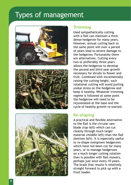## Types of management







### **Trimming**

Used sympathetically cutting with a flail can maintain a thick dense hedgerow for many years. However, annual cutting back to the same point will over a period of years lead to severe damage to the hedgerow. Fortunately there are alternatives. Cutting every two or preferably three years allows the hedgerow to develop the second and third year growth necessary for shrubs to flower and fruit. Combined with incrementally raising the cutting height, such rotational cutting will avoid putting undue stress on the hedgerow and keep it healthy. Whatever trimming regime is followed at some point the hedgerow will need to be rejuvenated at the base and the cycle of healthy growth re-started.

### **Re-shaping**

A practical and flexible alternative to the flail is the circular saw blade *(top left)* which can cut cleanly through much larger material *(middle left)* than the flail *(bottom left)*. It is especially useful to re-shape overgrown hedgerows which have not been cut for many years, or to manage hedgerows on a much longer cutting rotation than is possible with flail mowers, perhaps just once every 10 years. The brash that results is relatively straight forward to pick up with a front loader.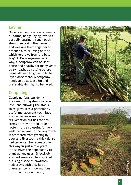### **Laying**

Once common practice on nearly all farms, hedge laying involves partially cutting through each stem then laying them over and weaving them together to produce a thick living barrier, which re-grows from the base *(right)*. Once rejuvenated in this way, a hedgerow can be kept dense and healthy for many years by sympathetic cutting before being allowed to grow up to be layed once more. A hedgerow needs to be at least 3m and preferably 4m high to be layed.

### **Coppicing**

Coppicing *(bottom right)*  involves cutting stems to ground level and allowing the stools to re-grow. It is a particularly useful management technique if a hedgerow is ready for rejuvenation but has too few stems or they are too large or rotten. It is also useful for very wide hedgerows. If the re-growth is protected from grazing by deer and livestock, a thick dense hedgerow can be recreated in this way in just a few years. It also gives the opportunity to plant up any gaps. Effectively any hedgerow can be coppiced but single species hawthorn hedgerows with old, large diameter stems showing signs of rot can respond poorly.



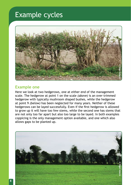# Example cycles



#### **Example one**

Here we look at two hedgerows, one at either end of the management scale. The hedgerow at point 1 on the scale *(above)* is an over-trimmed hedgerow with typically mushroom shaped bushes, while the hedgerow at point 9 *(below)* has been neglected for many years. Neither of these hedgerows can be layed successfully. Even if the first hedgerow is allowed to grow up it will have too few stems, while the second one has stems that are not only too far apart but also too large to be layed. In both examples coppicing is the only management option available, and one which also allows gaps to be planted up.

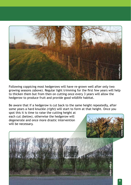

Following coppicing most hedgerows will have re-grown well after only two growing seasons *(above)*. Regular light trimming for the first few years will help to thicken them but from then on cutting once every 3 years will allow the hedgerow to produce fruit and provide good wildlife habitat.

Be aware that if a hedgerow is cut back to the same height repeatedly, after some years a hard knuckle *(right)* will start to form at that height. Once you

spot this it is time to raise the cutting height at each cut *(below)*, otherwise the hedgerow will degenerate and once more drastic intervention will be necessary.



**© Nigel Adams**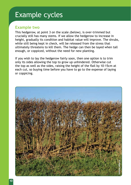# Example cycles

### **Example two**

This hedgerow, at point 3 on the scale *(below)*, is over-trimmed but crucially still has many stems. If we allow the hedgerow to increase in height, gradually its condition and habitat value will improve. The shrubs, while still being kept in check, will be released from the stress that ultimately threatens to kill them. The hedge can then be layed when tall enough, or coppiced, without the need for new planting.

If you wish to lay the hedgerow fairly soon, then one option is to trim only its sides allowing the top to grow up unhindered. Otherwise cut the top as well as the sides, raising the height of the flail by 10-15cm at each cut, so buying time before you have to go to the expense of laying or coppicing.

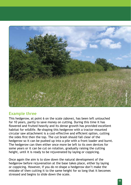

#### **Example three**

This hedgerow, at point 6 on the scale *(above)*, has been left untouched for 10 years, partly to save money on cutting. During this time it has flowered and fruited heavily and its dense growth has provided excellent habitat for wildlife. Re-shaping this hedgerow with a tractor-mounted circular saw attachment is a cost-effective and efficient option, cutting the sides first then the top. The cut brash should fall clear of the hedgerow so it can be pushed up into a pile with a front loader and burnt. The hedgerow can then either once more be left to its own devices for some years or it can be cut on rotation, gradually raising the cutting height, until it is ready to be rejuvenated by laying or coppicing.

Once again the aim is to slow down the natural development of the hedgerow before rejuvenation at the base takes place, either by laying or coppicing. However, if you do re-shape a hedgerow don't make the mistake of then cutting it to the same height for so long that it becomes stressed and begins to slide down the scale.